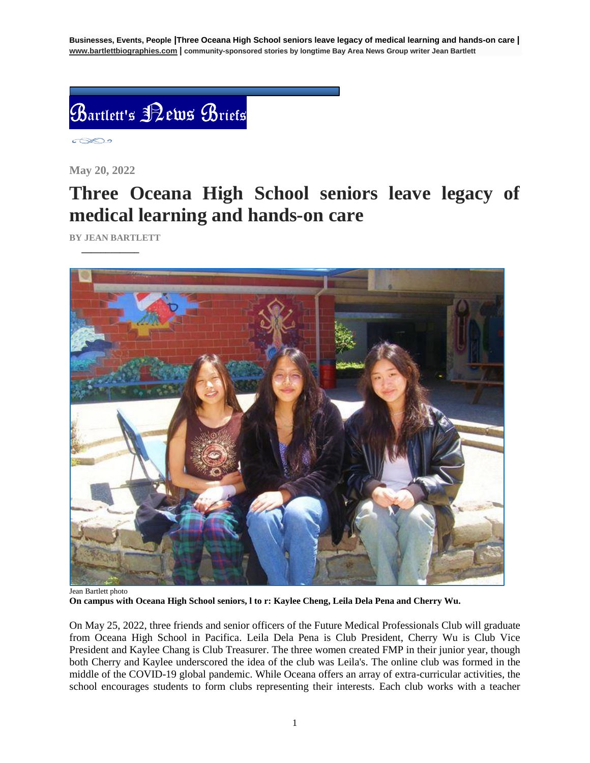**Businesses, Events, People |Three Oceana High School seniors leave legacy of medical learning and hands-on care | [www.bartlettbiographies.com](http://www.bartlettbiographies.com/) | community-sponsored stories by longtime Bay Area News Group writer Jean Bartlett**



 $\circ \otimes \circ$ 

**May 20, 2022**

## **Three Oceana High School seniors leave legacy of medical learning and hands-on care**

**BY JEAN BARTLETT** 

 **\_\_\_\_\_\_\_\_\_\_\_\_**



Jean Bartlett photo **On campus with Oceana High School seniors, l to r: Kaylee Cheng, Leila Dela Pena and Cherry Wu.**

On May 25, 2022, three friends and senior officers of the Future Medical Professionals Club will graduate from Oceana High School in Pacifica. Leila Dela Pena is Club President, Cherry Wu is Club Vice President and Kaylee Chang is Club Treasurer. The three women created FMP in their junior year, though both Cherry and Kaylee underscored the idea of the club was Leila's. The online club was formed in the middle of the COVID-19 global pandemic. While Oceana offers an array of extra-curricular activities, the school encourages students to form clubs representing their interests. Each club works with a teacher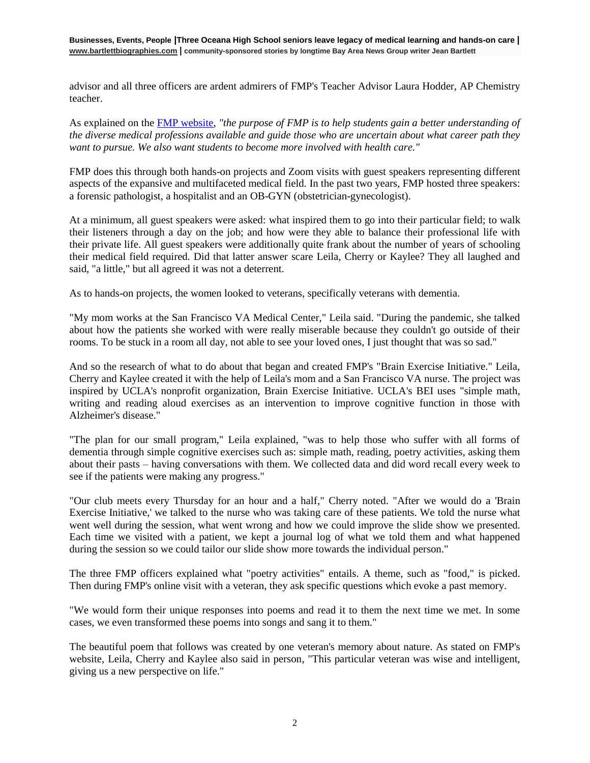**Businesses, Events, People |Three Oceana High School seniors leave legacy of medical learning and hands-on care | [www.bartlettbiographies.com](http://www.bartlettbiographies.com/) | community-sponsored stories by longtime Bay Area News Group writer Jean Bartlett**

advisor and all three officers are ardent admirers of FMP's Teacher Advisor Laura Hodder, AP Chemistry teacher.

As explained on the [FMP website,](https://oceanahsfmp.wixsite.com/ohsfmp/about) *"the purpose of FMP is to help students gain a better understanding of the diverse medical professions available and guide those who are uncertain about what career path they want to pursue. We also want students to become more involved with health care."*

FMP does this through both hands-on projects and Zoom visits with guest speakers representing different aspects of the expansive and multifaceted medical field. In the past two years, FMP hosted three speakers: a forensic pathologist, a hospitalist and an OB-GYN (obstetrician-gynecologist).

At a minimum, all guest speakers were asked: what inspired them to go into their particular field; to walk their listeners through a day on the job; and how were they able to balance their professional life with their private life. All guest speakers were additionally quite frank about the number of years of schooling their medical field required. Did that latter answer scare Leila, Cherry or Kaylee? They all laughed and said, "a little," but all agreed it was not a deterrent.

As to hands-on projects, the women looked to veterans, specifically veterans with dementia.

"My mom works at the San Francisco VA Medical Center," Leila said. "During the pandemic, she talked about how the patients she worked with were really miserable because they couldn't go outside of their rooms. To be stuck in a room all day, not able to see your loved ones, I just thought that was so sad."

And so the research of what to do about that began and created FMP's "Brain Exercise Initiative." Leila, Cherry and Kaylee created it with the help of Leila's mom and a San Francisco VA nurse. The project was inspired by UCLA's nonprofit organization, Brain Exercise Initiative. UCLA's BEI uses "simple math, writing and reading aloud exercises as an intervention to improve cognitive function in those with Alzheimer's disease."

"The plan for our small program," Leila explained, "was to help those who suffer with all forms of dementia through simple cognitive exercises such as: simple math, reading, poetry activities, asking them about their pasts – having conversations with them. We collected data and did word recall every week to see if the patients were making any progress."

"Our club meets every Thursday for an hour and a half," Cherry noted. "After we would do a 'Brain Exercise Initiative,' we talked to the nurse who was taking care of these patients. We told the nurse what went well during the session, what went wrong and how we could improve the slide show we presented. Each time we visited with a patient, we kept a journal log of what we told them and what happened during the session so we could tailor our slide show more towards the individual person."

The three FMP officers explained what "poetry activities" entails. A theme, such as "food," is picked. Then during FMP's online visit with a veteran, they ask specific questions which evoke a past memory.

"We would form their unique responses into poems and read it to them the next time we met. In some cases, we even transformed these poems into songs and sang it to them."

The beautiful poem that follows was created by one veteran's memory about nature. As stated on FMP's website, Leila, Cherry and Kaylee also said in person, "This particular veteran was wise and intelligent, giving us a new perspective on life."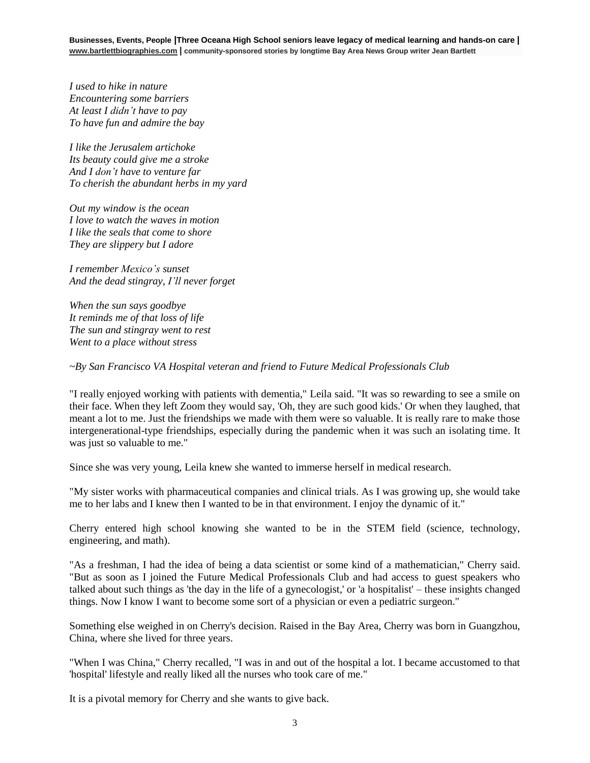*I used to hike in nature Encountering some barriers At least I didn't have to pay To have fun and admire the bay*

*I like the Jerusalem artichoke Its beauty could give me a stroke And I don't have to venture far To cherish the abundant herbs in my yard*

*Out my window is the ocean I love to watch the waves in motion I like the seals that come to shore They are slippery but I adore*

*I remember Mexico's sunset And the dead stingray, I'll never forget*

*When the sun says goodbye It reminds me of that loss of life The sun and stingray went to rest Went to a place without stress*

*~By San Francisco VA Hospital veteran and friend to Future Medical Professionals Club*

"I really enjoyed working with patients with dementia," Leila said. "It was so rewarding to see a smile on their face. When they left Zoom they would say, 'Oh, they are such good kids.' Or when they laughed, that meant a lot to me. Just the friendships we made with them were so valuable. It is really rare to make those intergenerational-type friendships, especially during the pandemic when it was such an isolating time. It was just so valuable to me."

Since she was very young, Leila knew she wanted to immerse herself in medical research.

"My sister works with pharmaceutical companies and clinical trials. As I was growing up, she would take me to her labs and I knew then I wanted to be in that environment. I enjoy the dynamic of it."

Cherry entered high school knowing she wanted to be in the STEM field (science, technology, engineering, and math).

"As a freshman, I had the idea of being a data scientist or some kind of a mathematician," Cherry said. "But as soon as I joined the Future Medical Professionals Club and had access to guest speakers who talked about such things as 'the day in the life of a gynecologist,' or 'a hospitalist' – these insights changed things. Now I know I want to become some sort of a physician or even a pediatric surgeon."

Something else weighed in on Cherry's decision. Raised in the Bay Area, Cherry was born in Guangzhou, China, where she lived for three years.

"When I was China," Cherry recalled, "I was in and out of the hospital a lot. I became accustomed to that 'hospital' lifestyle and really liked all the nurses who took care of me."

It is a pivotal memory for Cherry and she wants to give back.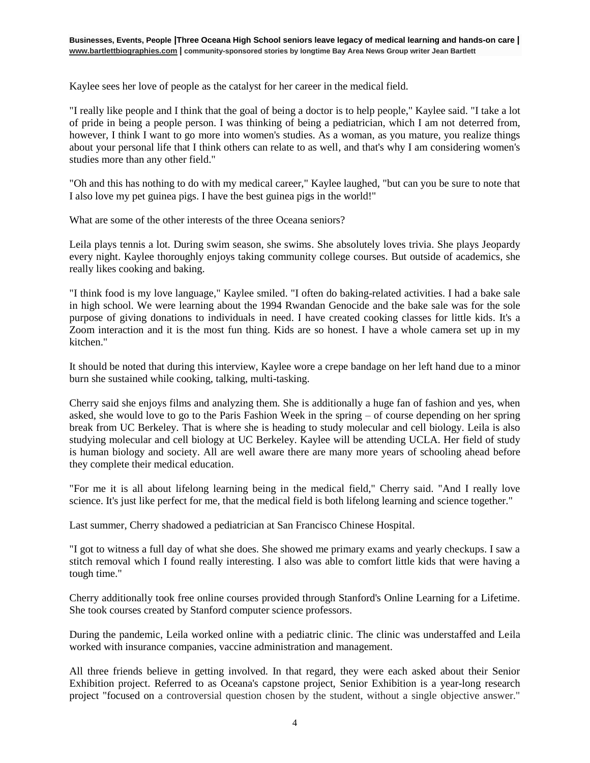Kaylee sees her love of people as the catalyst for her career in the medical field.

"I really like people and I think that the goal of being a doctor is to help people," Kaylee said. "I take a lot of pride in being a people person. I was thinking of being a pediatrician, which I am not deterred from, however, I think I want to go more into women's studies. As a woman, as you mature, you realize things about your personal life that I think others can relate to as well, and that's why I am considering women's studies more than any other field."

"Oh and this has nothing to do with my medical career," Kaylee laughed, "but can you be sure to note that I also love my pet guinea pigs. I have the best guinea pigs in the world!"

What are some of the other interests of the three Oceana seniors?

Leila plays tennis a lot. During swim season, she swims. She absolutely loves trivia. She plays Jeopardy every night. Kaylee thoroughly enjoys taking community college courses. But outside of academics, she really likes cooking and baking.

"I think food is my love language," Kaylee smiled. "I often do baking-related activities. I had a bake sale in high school. We were learning about the 1994 Rwandan Genocide and the bake sale was for the sole purpose of giving donations to individuals in need. I have created cooking classes for little kids. It's a Zoom interaction and it is the most fun thing. Kids are so honest. I have a whole camera set up in my kitchen."

It should be noted that during this interview, Kaylee wore a crepe bandage on her left hand due to a minor burn she sustained while cooking, talking, multi-tasking.

Cherry said she enjoys films and analyzing them. She is additionally a huge fan of fashion and yes, when asked, she would love to go to the Paris Fashion Week in the spring – of course depending on her spring break from UC Berkeley. That is where she is heading to study molecular and cell biology. Leila is also studying molecular and cell biology at UC Berkeley. Kaylee will be attending UCLA. Her field of study is human biology and society. All are well aware there are many more years of schooling ahead before they complete their medical education.

"For me it is all about lifelong learning being in the medical field," Cherry said. "And I really love science. It's just like perfect for me, that the medical field is both lifelong learning and science together."

Last summer, Cherry shadowed a pediatrician at San Francisco Chinese Hospital.

"I got to witness a full day of what she does. She showed me primary exams and yearly checkups. I saw a stitch removal which I found really interesting. I also was able to comfort little kids that were having a tough time."

Cherry additionally took free online courses provided through Stanford's Online Learning for a Lifetime. She took courses created by Stanford computer science professors.

During the pandemic, Leila worked online with a pediatric clinic. The clinic was understaffed and Leila worked with insurance companies, vaccine administration and management.

All three friends believe in getting involved. In that regard, they were each asked about their Senior Exhibition project. Referred to as Oceana's capstone project, Senior Exhibition is a year-long research project "focused on a controversial question chosen by the student, without a single objective answer."